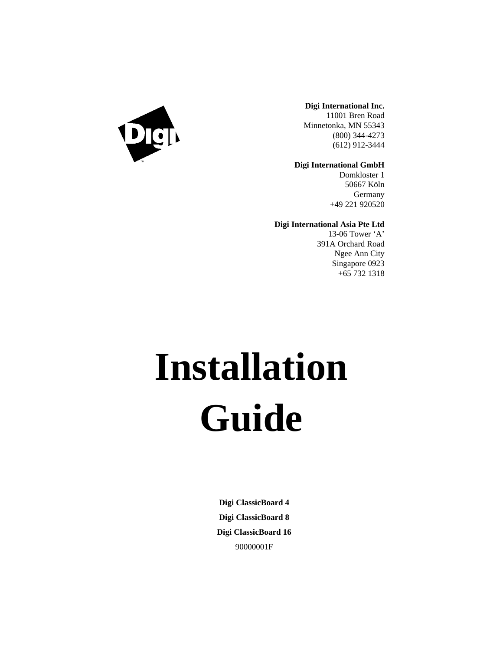

#### **Digi International Inc.**

11001 Bren Road Minnetonka, MN 55343 (800) 344-4273 (612) 912-3444

#### **Digi International GmbH**

Domkloster 1 50667 Köln Germany +49 221 920520

#### **Digi International Asia Pte Ltd**

13-06 Tower 'A' 391A Orchard Road Ngee Ann City Singapore 0923 +65 732 1318

# **Installation Guide**

**Digi ClassicBoard 4 Digi ClassicBoard 8 Digi ClassicBoard 16** 90000001F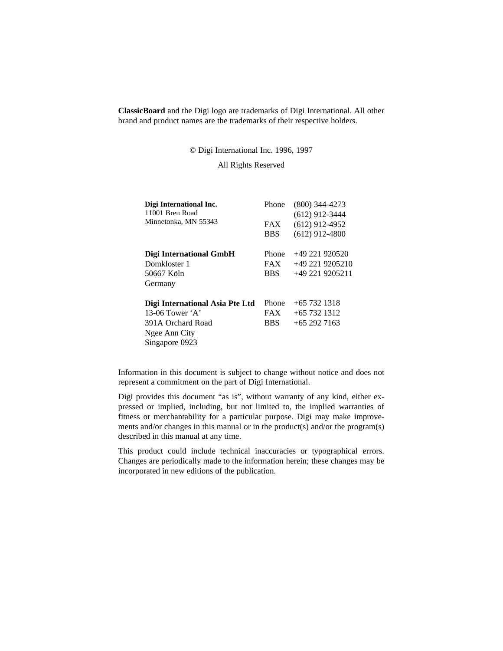**ClassicBoard** and the Digi logo are trademarks of Digi International. All other brand and product names are the trademarks of their respective holders.

© Digi International Inc. 1996, 1997

All Rights Reserved

| Digi International Inc.<br>11001 Bren Road | Phone      | $(800)$ 344-4273<br>$(612)$ 912-3444 |
|--------------------------------------------|------------|--------------------------------------|
| Minnetonka, MN 55343                       | <b>FAX</b> | $(612)$ 912-4952                     |
|                                            | <b>BBS</b> | $(612)$ 912-4800                     |
| <b>Digi International GmbH</b>             | Phone      | $+49221920520$                       |
| Domkloster 1                               | <b>FAX</b> | $+49$ 221 9205210                    |
| 50667 Köln                                 | <b>BBS</b> | $+49$ 221 9205211                    |
| Germany                                    |            |                                      |
| Digi International Asia Pte Ltd            | Phone      | $+657321318$                         |
| 13-06 Tower 'A'                            | FAX.       | $+65$ 732 1312                       |
| 391A Orchard Road                          | <b>BBS</b> | $+652927163$                         |
| Ngee Ann City                              |            |                                      |
| Singapore 0923                             |            |                                      |

Information in this document is subject to change without notice and does not represent a commitment on the part of Digi International.

Digi provides this document "as is", without warranty of any kind, either expressed or implied, including, but not limited to, the implied warranties of fitness or merchantability for a particular purpose. Digi may make improvements and/or changes in this manual or in the product(s) and/or the program(s) described in this manual at any time.

This product could include technical inaccuracies or typographical errors. Changes are periodically made to the information herein; these changes may be incorporated in new editions of the publication.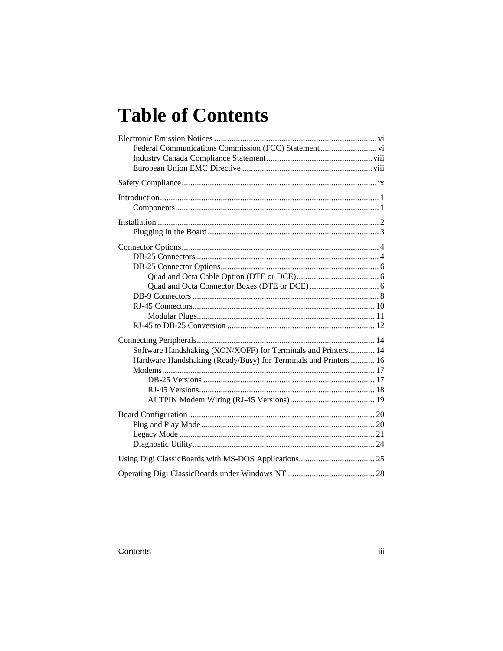# **Table of Contents**

| Software Handshaking (XON/XOFF) for Terminals and Printers 14    |  |
|------------------------------------------------------------------|--|
| Hardware Handshaking (Ready/Busy) for Terminals and Printers  16 |  |
|                                                                  |  |
|                                                                  |  |
|                                                                  |  |
|                                                                  |  |
|                                                                  |  |
|                                                                  |  |
|                                                                  |  |
|                                                                  |  |
|                                                                  |  |
|                                                                  |  |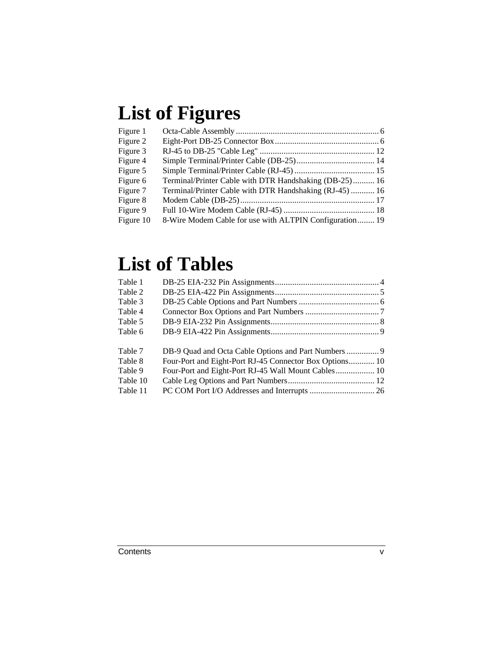# **List of Figures**

| Figure 1  |                                                         |  |
|-----------|---------------------------------------------------------|--|
| Figure 2  |                                                         |  |
| Figure 3  |                                                         |  |
| Figure 4  |                                                         |  |
| Figure 5  |                                                         |  |
| Figure 6  | Terminal/Printer Cable with DTR Handshaking (DB-25) 16  |  |
| Figure 7  | Terminal/Printer Cable with DTR Handshaking (RJ-45)  16 |  |
| Figure 8  |                                                         |  |
| Figure 9  |                                                         |  |
| Figure 10 | 8-Wire Modem Cable for use with ALTPIN Configuration 19 |  |

# **List of Tables**

| Four-Port and Eight-Port RJ-45 Connector Box Options 10<br>Four-Port and Eight-Port RJ-45 Wall Mount Cables 10 |
|----------------------------------------------------------------------------------------------------------------|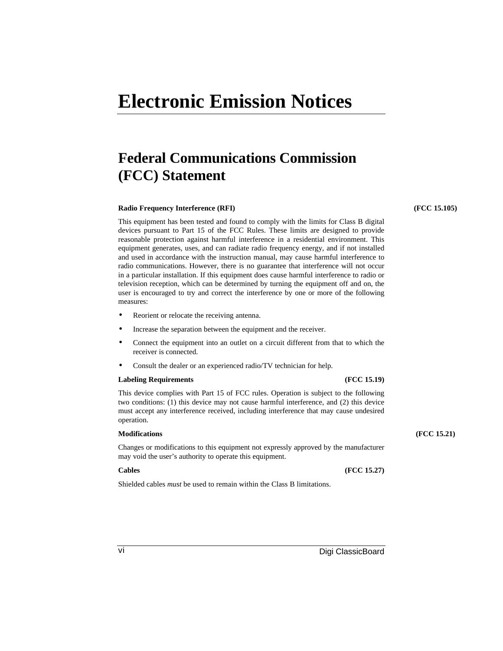# **Electronic Emission Notices**

#### **Federal Communications Commission (FCC) Statement**

#### **Radio Frequency Interference (RFI) (FCC 15.105)**

This equipment has been tested and found to comply with the limits for Class B digital devices pursuant to Part 15 of the FCC Rules. These limits are designed to provide reasonable protection against harmful interference in a residential environment. This equipment generates, uses, and can radiate radio frequency energy, and if not installed and used in accordance with the instruction manual, may cause harmful interference to radio communications. However, there is no guarantee that interference will not occur in a particular installation. If this equipment does cause harmful interference to radio or television reception, which can be determined by turning the equipment off and on, the user is encouraged to try and correct the interference by one or more of the following measures:

- Reorient or relocate the receiving antenna.
- Increase the separation between the equipment and the receiver.
- Connect the equipment into an outlet on a circuit different from that to which the receiver is connected.
- Consult the dealer or an experienced radio/TV technician for help.

#### **Labeling Requirements (FCC 15.19)**

This device complies with Part 15 of FCC rules. Operation is subject to the following two conditions: (1) this device may not cause harmful interference, and (2) this device must accept any interference received, including interference that may cause undesired operation.

Changes or modifications to this equipment not expressly approved by the manufacturer may void the user's authority to operate this equipment.

#### **Cables (FCC 15.27)**

Shielded cables *must* be used to remain within the Class B limitations.

#### **Modifications (FCC 15.21)**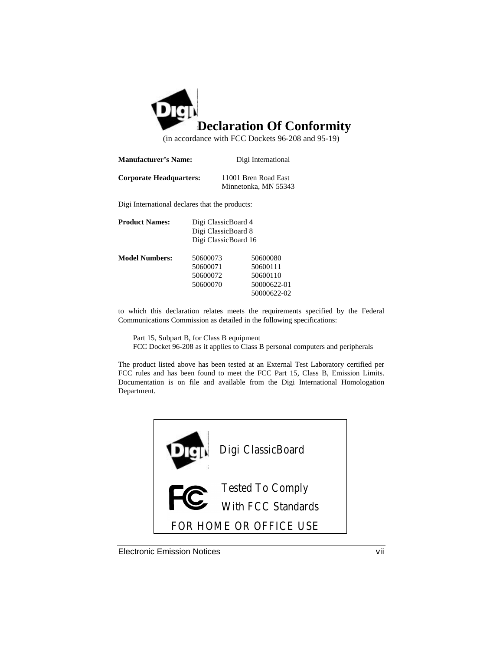

(in accordance with FCC Dockets 96-208 and 95-19)

| <b>Manufacturer's Name:</b>    | Digi International                           |
|--------------------------------|----------------------------------------------|
| <b>Corporate Headquarters:</b> | 11001 Bren Road East<br>Minnetonka, MN 55343 |

Digi International declares that the products:

| <b>Product Names:</b> | Digi ClassicBoard 4<br>Digi ClassicBoard 8<br>Digi ClassicBoard 16 |                                                                |
|-----------------------|--------------------------------------------------------------------|----------------------------------------------------------------|
| <b>Model Numbers:</b> | 50600073<br>50600071<br>50600072<br>50600070                       | 50600080<br>50600111<br>50600110<br>50000622-01<br>50000622-02 |

to which this declaration relates meets the requirements specified by the Federal Communications Commission as detailed in the following specifications:

Part 15, Subpart B, for Class B equipment FCC Docket 96-208 as it applies to Class B personal computers and peripherals

The product listed above has been tested at an External Test Laboratory certified per FCC rules and has been found to meet the FCC Part 15, Class B, Emission Limits. Documentation is on file and available from the Digi International Homologation Department.



Electronic Emission Notices vii vii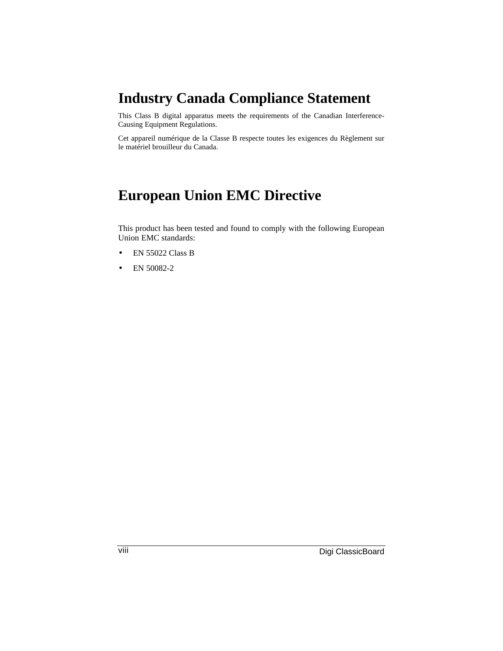#### **Industry Canada Compliance Statement**

This Class B digital apparatus meets the requirements of the Canadian Interference-Causing Equipment Regulations.

Cet appareil numérique de la Classe B respecte toutes les exigences du Règlement sur le matériel brouilleur du Canada.

#### **European Union EMC Directive**

This product has been tested and found to comply with the following European Union EMC standards:

- EN 55022 Class B
- EN 50082-2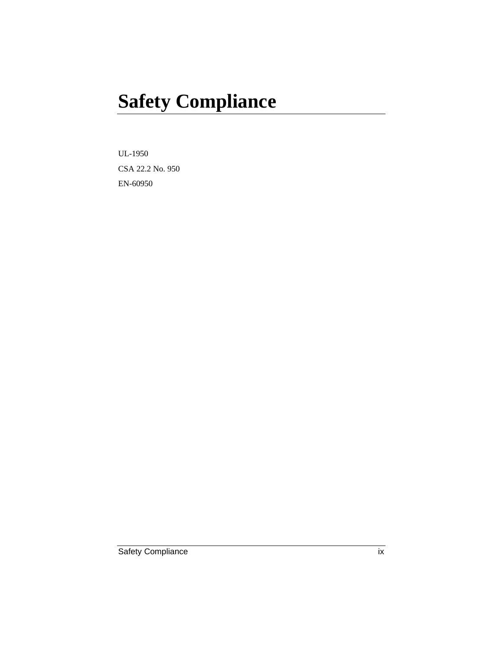# **Safety Compliance**

UL-1950 CSA 22.2 No. 950 EN-60950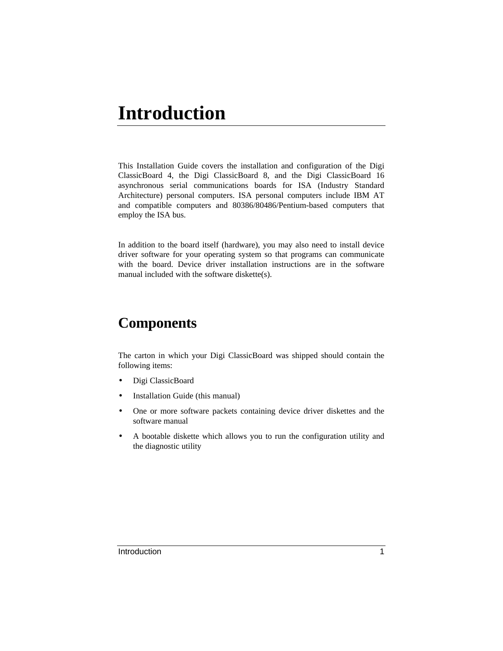# **Introduction**

This Installation Guide covers the installation and configuration of the Digi ClassicBoard 4, the Digi ClassicBoard 8, and the Digi ClassicBoard 16 asynchronous serial communications boards for ISA (Industry Standard Architecture) personal computers. ISA personal computers include IBM AT and compatible computers and 80386/80486/Pentium-based computers that employ the ISA bus.

In addition to the board itself (hardware), you may also need to install device driver software for your operating system so that programs can communicate with the board. Device driver installation instructions are in the software manual included with the software diskette(s).

### **Components**

The carton in which your Digi ClassicBoard was shipped should contain the following items:

- Digi ClassicBoard
- Installation Guide (this manual)
- One or more software packets containing device driver diskettes and the software manual
- A bootable diskette which allows you to run the configuration utility and the diagnostic utility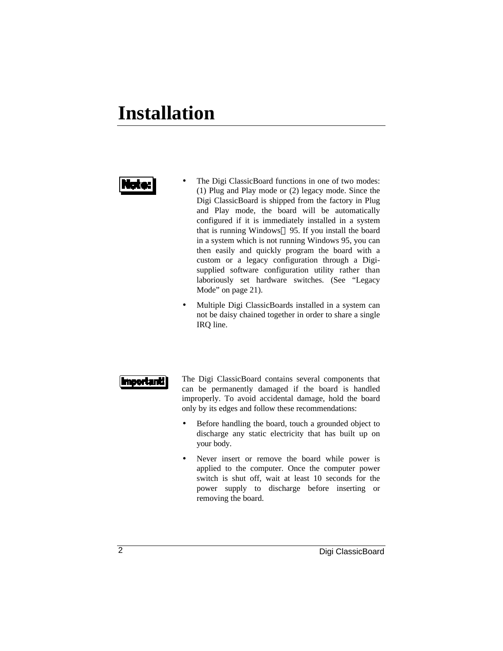# **Installation**

## ta e

- The Digi ClassicBoard functions in one of two modes: (1) Plug and Play mode or (2) legacy mode. Since the Digi ClassicBoard is shipped from the factory in Plug and Play mode, the board will be automatically configured if it is immediately installed in a system that is running Windows® 95. If you install the board in a system which is not running Windows 95, you can then easily and quickly program the board with a custom or a legacy configuration through a Digisupplied software configuration utility rather than laboriously set hardware switches. (See "Legacy Mode" on page 21).
- Multiple Digi ClassicBoards installed in a system can not be daisy chained together in order to share a single IRQ line.

|Importanti

The Digi ClassicBoard contains several components that can be permanently damaged if the board is handled improperly. To avoid accidental damage, hold the board only by its edges and follow these recommendations:

- Before handling the board, touch a grounded object to discharge any static electricity that has built up on your body.
- Never insert or remove the board while power is applied to the computer. Once the computer power switch is shut off, wait at least 10 seconds for the power supply to discharge before inserting or removing the board.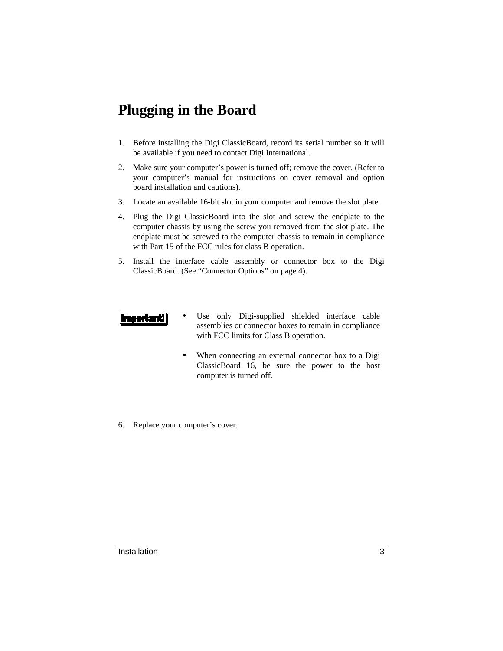### **Plugging in the Board**

- 1. Before installing the Digi ClassicBoard, record its serial number so it will be available if you need to contact Digi International.
- 2. Make sure your computer's power is turned off; remove the cover. (Refer to your computer's manual for instructions on cover removal and option board installation and cautions).
- 3. Locate an available 16-bit slot in your computer and remove the slot plate.
- 4. Plug the Digi ClassicBoard into the slot and screw the endplate to the computer chassis by using the screw you removed from the slot plate. The endplate must be screwed to the computer chassis to remain in compliance with Part 15 of the FCC rules for class B operation.
- 5. Install the interface cable assembly or connector box to the Digi ClassicBoard. (See "Connector Options" on page 4).

#### |ImportantI

- Use only Digi-supplied shielded interface cable assemblies or connector boxes to remain in compliance with FCC limits for Class B operation.
- When connecting an external connector box to a Digi ClassicBoard 16, be sure the power to the host computer is turned off.
- 6. Replace your computer's cover.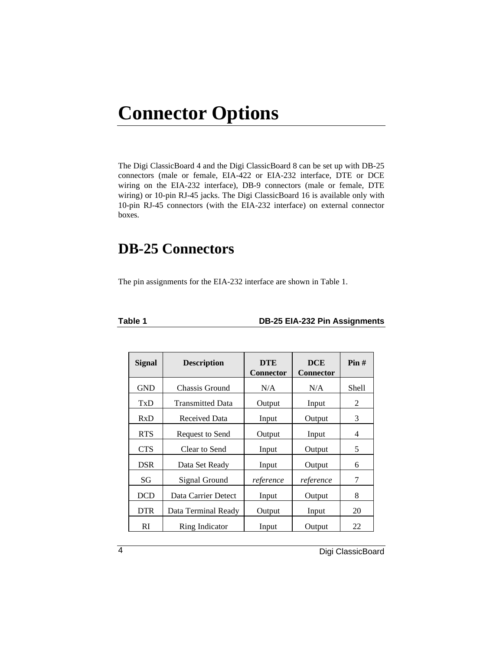# **Connector Options**

The Digi ClassicBoard 4 and the Digi ClassicBoard 8 can be set up with DB-25 connectors (male or female, EIA-422 or EIA-232 interface, DTE or DCE wiring on the EIA-232 interface), DB-9 connectors (male or female, DTE wiring) or 10-pin RJ-45 jacks. The Digi ClassicBoard 16 is available only with 10-pin RJ-45 connectors (with the EIA-232 interface) on external connector boxes.

#### **DB-25 Connectors**

The pin assignments for the EIA-232 interface are shown in Table 1.

| u. |  |
|----|--|
|----|--|

#### **Table 1 DB-25 EIA-232 Pin Assignments**

| <b>Signal</b> | <b>Description</b>      | <b>DTE</b><br><b>Connector</b> | <b>DCE</b><br><b>Connector</b> | Pin#  |
|---------------|-------------------------|--------------------------------|--------------------------------|-------|
| <b>GND</b>    | Chassis Ground          | N/A                            | N/A                            | Shell |
| TxD           | <b>Transmitted Data</b> | Output                         | Input                          | 2     |
| RxD           | Received Data           | Input                          | Output                         | 3     |
| <b>RTS</b>    | Request to Send         | Output                         | Input                          | 4     |
| <b>CTS</b>    | Clear to Send           | Input                          | Output                         | 5     |
| <b>DSR</b>    | Data Set Ready          | Input                          | Output                         | 6     |
| SG            | Signal Ground           | reference                      | reference                      | 7     |
| <b>DCD</b>    | Data Carrier Detect     | Input                          | Output                         | 8     |
| <b>DTR</b>    | Data Terminal Ready     | Output                         | Input                          | 20    |
| <b>RI</b>     | Ring Indicator          | Input                          | Output                         | 22    |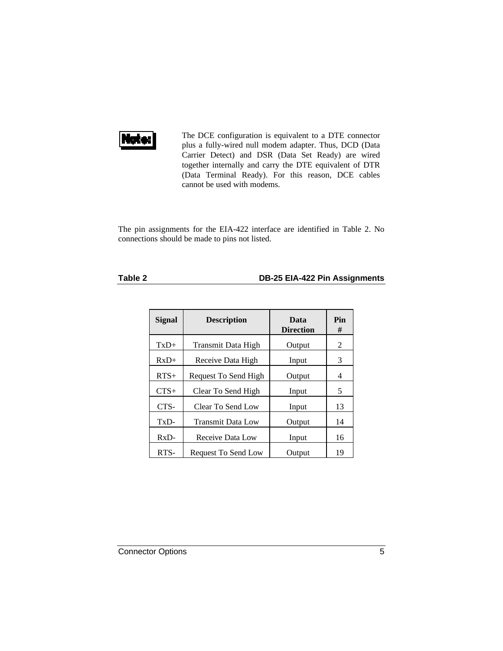

The DCE configuration is equivalent to a DTE connector plus a fully-wired null modem adapter. Thus, DCD (Data Carrier Detect) and DSR (Data Set Ready) are wired together internally and carry the DTE equivalent of DTR (Data Terminal Ready). For this reason, DCE cables cannot be used with modems.

The pin assignments for the EIA-422 interface are identified in Table 2. No connections should be made to pins not listed.

#### **Table 2 DB-25 EIA-422 Pin Assignments**

| Signal | <b>Description</b>   | Data<br><b>Direction</b> | Pin<br># |
|--------|----------------------|--------------------------|----------|
| $TxD+$ | Transmit Data High   | Output                   | 2        |
| $RxD+$ | Receive Data High    | Input                    | 3        |
| $RTS+$ | Request To Send High | Output                   | 4        |
| $CTS+$ | Clear To Send High   | Input                    | 5        |
| CTS-   | Clear To Send Low    | Input                    | 13       |
| TxD-   | Transmit Data Low    | Output                   | 14       |
| $RxD-$ | Receive Data Low     | Input                    | 16       |
| RTS-   | Request To Send Low  | Output                   | 19       |

**Connector Options** 5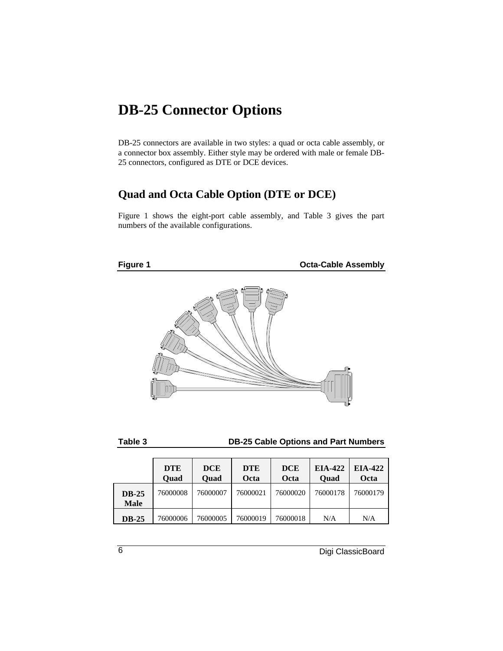#### **DB-25 Connector Options**

DB-25 connectors are available in two styles: a quad or octa cable assembly, or a connector box assembly. Either style may be ordered with male or female DB-25 connectors, configured as DTE or DCE devices.

#### **Quad and Octa Cable Option (DTE or DCE)**

Figure 1 shows the eight-port cable assembly, and Table 3 gives the part numbers of the available configurations.





#### **Table 3 DB-25 Cable Options and Part Numbers**

|                             | <b>DTE</b><br>Ouad | <b>DCE</b><br>Quad | <b>DTE</b><br>Octa | <b>DCE</b><br>Octa | EIA-422<br><b>Quad</b> | EIA-422<br>Octa |
|-----------------------------|--------------------|--------------------|--------------------|--------------------|------------------------|-----------------|
| <b>DB-25</b><br><b>Male</b> | 76000008           | 76000007           | 76000021           | 76000020           | 76000178               | 76000179        |
| <b>DB-25</b>                | 76000006           | 76000005           | 76000019           | 76000018           | N/A                    | N/A             |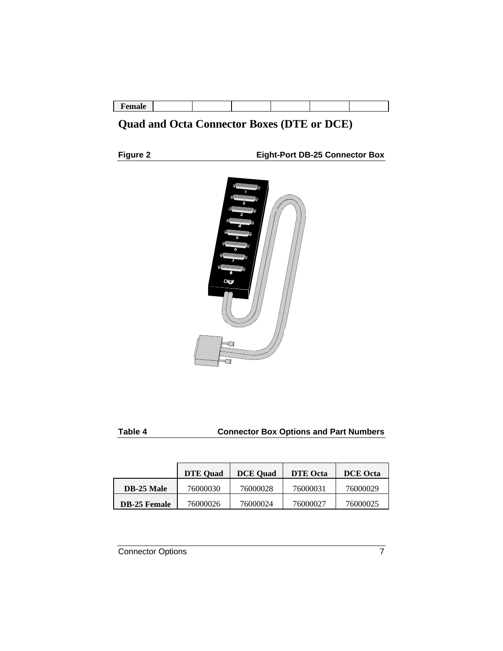| -г ешан |  | $-$ ---- |  |  |  |  |  |
|---------|--|----------|--|--|--|--|--|
|---------|--|----------|--|--|--|--|--|

#### **Quad and Octa Connector Boxes (DTE or DCE)**

**Figure 2 Eight-Port DB-25 Connector Box**



| -<br>×<br>v<br>w<br>۰. |
|------------------------|
|------------------------|

#### **Connector Box Options and Part Numbers**

|                     | <b>DTE</b> Ouad | <b>DCE</b> Ouad | <b>DTE</b> Octa | <b>DCE</b> Octa |
|---------------------|-----------------|-----------------|-----------------|-----------------|
| <b>DB-25 Male</b>   | 76000030        | 76000028        | 76000031        | 76000029        |
| <b>DB-25 Female</b> | 76000026        | 76000024        | 76000027        | 76000025        |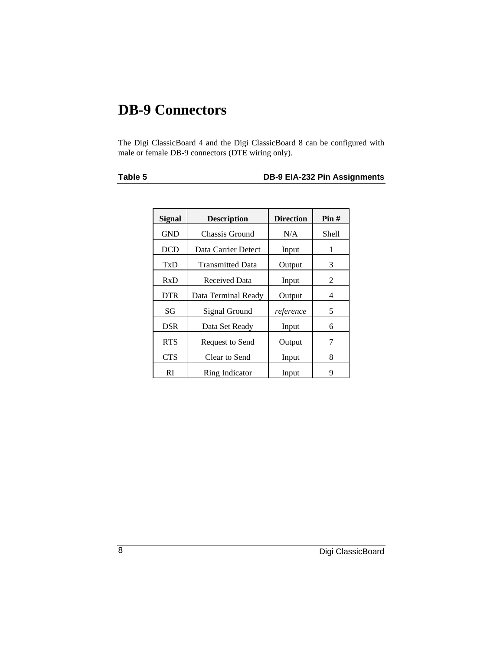### **DB-9 Connectors**

The Digi ClassicBoard 4 and the Digi ClassicBoard 8 can be configured with male or female DB-9 connectors (DTE wiring only).

#### **Table 5 DB-9 EIA-232 Pin Assignments**

| <b>Signal</b> | <b>Description</b>      | <b>Direction</b> | Pin#  |
|---------------|-------------------------|------------------|-------|
| <b>GND</b>    | Chassis Ground          | N/A              | Shell |
| <b>DCD</b>    | Data Carrier Detect     | Input            | 1     |
| TxD           | <b>Transmitted Data</b> | Output           | 3     |
| RxD           | Received Data           | Input            | 2     |
| <b>DTR</b>    | Data Terminal Ready     | Output           | 4     |
| SG            | Signal Ground           | reference        | 5     |
| DSR           | Data Set Ready          | Input            | 6     |
| <b>RTS</b>    | Request to Send         | Output           | 7     |
| <b>CTS</b>    | Clear to Send           | Input            | 8     |
| RI            | Ring Indicator          | Input            | 9     |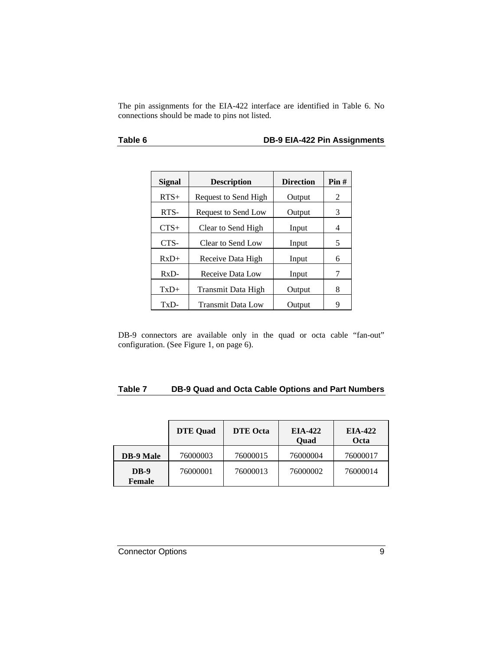The pin assignments for the EIA-422 interface are identified in Table 6. No connections should be made to pins not listed.

#### **Table 6 DB-9 EIA-422 Pin Assignments**

| Signal | <b>Description</b>   | <b>Direction</b> | Pin# |
|--------|----------------------|------------------|------|
| $RTS+$ | Request to Send High | Output           | 2    |
| RTS-   | Request to Send Low  | Output           | 3    |
| $CTS+$ | Clear to Send High   | Input            | 4    |
| CTS-   | Clear to Send Low    | Input            | 5    |
| $RxD+$ | Receive Data High    | Input            | 6    |
| $RxD-$ | Receive Data Low     | Input            | 7    |
| $TxD+$ | Transmit Data High   | Output           | 8    |
| TxD-   | Transmit Data Low    | Output           | 9    |

DB-9 connectors are available only in the quad or octa cable "fan-out" configuration. (See Figure 1, on page 6).

#### **Table 7 DB-9 Quad and Octa Cable Options and Part Numbers**

|                              | <b>DTE</b> Quad | <b>DTE</b> Octa | EIA-422<br>Quad | EIA-422<br>Octa |
|------------------------------|-----------------|-----------------|-----------------|-----------------|
| <b>DB-9 Male</b>             | 76000003        | 76000015        | 76000004        | 76000017        |
| <b>DB-9</b><br><b>Female</b> | 76000001        | 76000013        | 76000002        | 76000014        |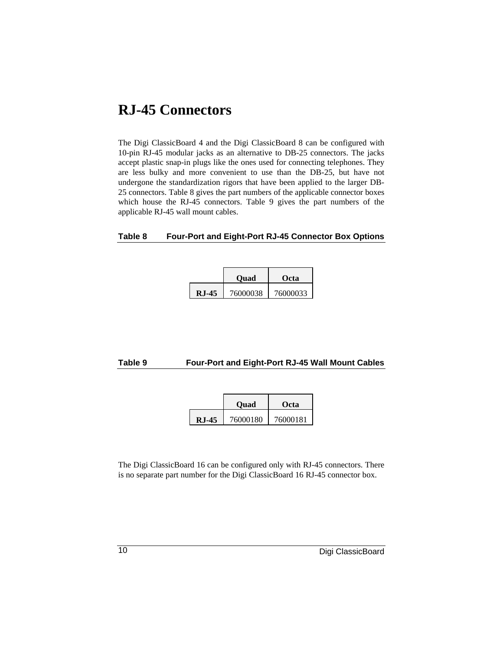#### **RJ-45 Connectors**

The Digi ClassicBoard 4 and the Digi ClassicBoard 8 can be configured with 10-pin RJ-45 modular jacks as an alternative to DB-25 connectors. The jacks accept plastic snap-in plugs like the ones used for connecting telephones. They are less bulky and more convenient to use than the DB-25, but have not undergone the standardization rigors that have been applied to the larger DB-25 connectors. Table 8 gives the part numbers of the applicable connector boxes which house the RJ-45 connectors. Table 9 gives the part numbers of the applicable RJ-45 wall mount cables.

#### **Table 8 Four-Port and Eight-Port RJ-45 Connector Box Options**

|          | <b>Ouad</b> | Octa     |
|----------|-------------|----------|
| $R.I-45$ | 76000038    | 76000033 |

#### **Table 9 Four-Port and Eight-Port RJ-45 Wall Mount Cables**

|       | Ouad     | Octa     |
|-------|----------|----------|
| RJ-45 | 76000180 | 76000181 |

The Digi ClassicBoard 16 can be configured only with RJ-45 connectors. There is no separate part number for the Digi ClassicBoard 16 RJ-45 connector box.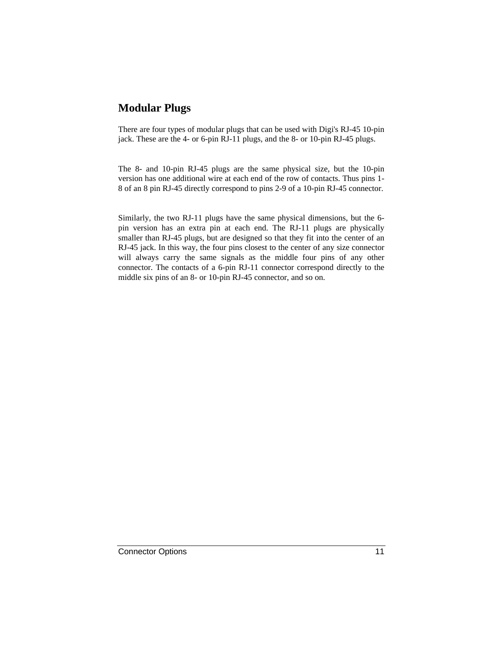#### **Modular Plugs**

There are four types of modular plugs that can be used with Digi's RJ-45 10-pin jack. These are the 4- or 6-pin RJ-11 plugs, and the 8- or 10-pin RJ-45 plugs.

The 8- and 10-pin RJ-45 plugs are the same physical size, but the 10-pin version has one additional wire at each end of the row of contacts. Thus pins 1- 8 of an 8 pin RJ-45 directly correspond to pins 2-9 of a 10-pin RJ-45 connector.

Similarly, the two RJ-11 plugs have the same physical dimensions, but the 6 pin version has an extra pin at each end. The RJ-11 plugs are physically smaller than RJ-45 plugs, but are designed so that they fit into the center of an RJ-45 jack. In this way, the four pins closest to the center of any size connector will always carry the same signals as the middle four pins of any other connector. The contacts of a 6-pin RJ-11 connector correspond directly to the middle six pins of an 8- or 10-pin RJ-45 connector, and so on.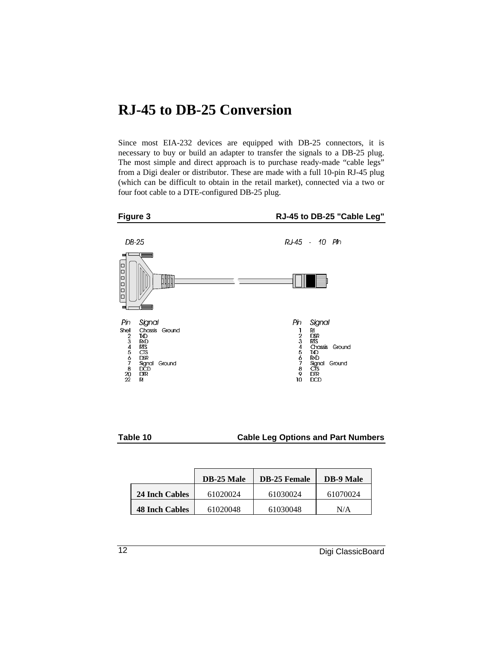#### **RJ-45 to DB-25 Conversion**

Since most EIA-232 devices are equipped with DB-25 connectors, it is necessary to buy or build an adapter to transfer the signals to a DB-25 plug. The most simple and direct approach is to purchase ready-made "cable legs" from a Digi dealer or distributor. These are made with a full 10-pin RJ-45 plug (which can be difficult to obtain in the retail market), connected via a two or four foot cable to a DTE-configured DB-25 plug.



#### **Table 10 Cable Leg Options and Part Numbers**

|                       | <b>DB-25 Male</b> | <b>DB-25 Female</b> | <b>DB-9 Male</b> |
|-----------------------|-------------------|---------------------|------------------|
| 24 Inch Cables        | 61020024          | 61030024            | 61070024         |
| <b>48 Inch Cables</b> | 61020048          | 61030048            | N/A              |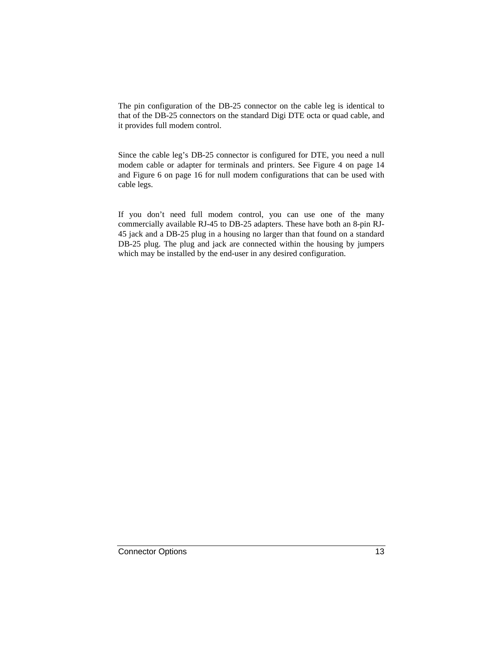The pin configuration of the DB-25 connector on the cable leg is identical to that of the DB-25 connectors on the standard Digi DTE octa or quad cable, and it provides full modem control.

Since the cable leg's DB-25 connector is configured for DTE, you need a null modem cable or adapter for terminals and printers. See Figure 4 on page 14 and Figure 6 on page 16 for null modem configurations that can be used with cable legs.

If you don't need full modem control, you can use one of the many commercially available RJ-45 to DB-25 adapters. These have both an 8-pin RJ-45 jack and a DB-25 plug in a housing no larger than that found on a standard DB-25 plug. The plug and jack are connected within the housing by jumpers which may be installed by the end-user in any desired configuration.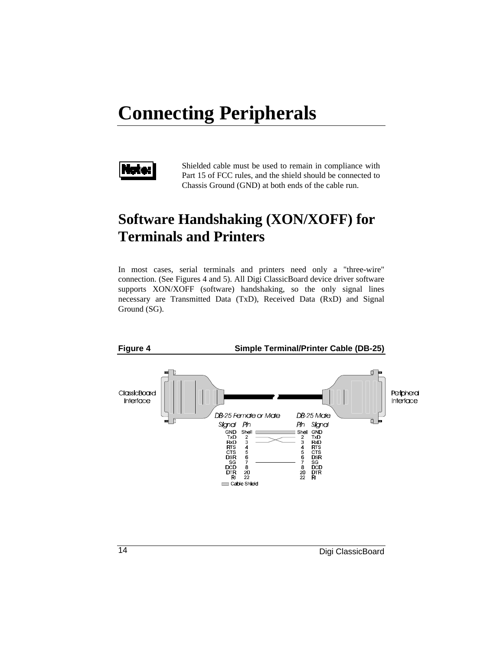# **Connecting Peripherals**



Shielded cable must be used to remain in compliance with Part 15 of FCC rules, and the shield should be connected to Chassis Ground (GND) at both ends of the cable run.

### **Software Handshaking (XON/XOFF) for Terminals and Printers**

In most cases, serial terminals and printers need only a "three-wire" connection. (See Figures 4 and 5). All Digi ClassicBoard device driver software supports XON/XOFF (software) handshaking, so the only signal lines necessary are Transmitted Data (TxD), Received Data (RxD) and Signal Ground (SG).

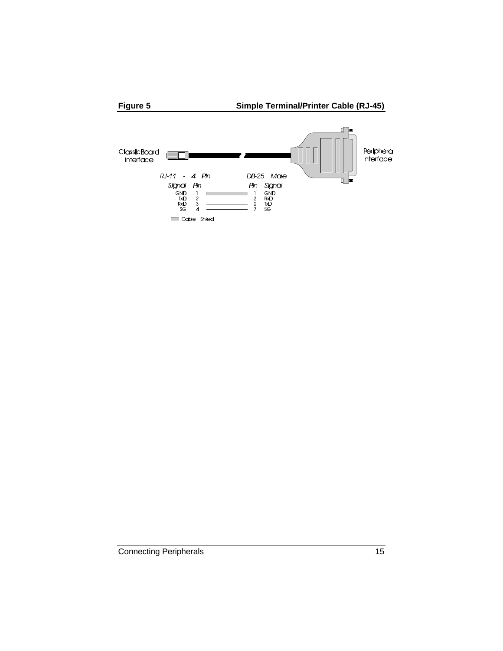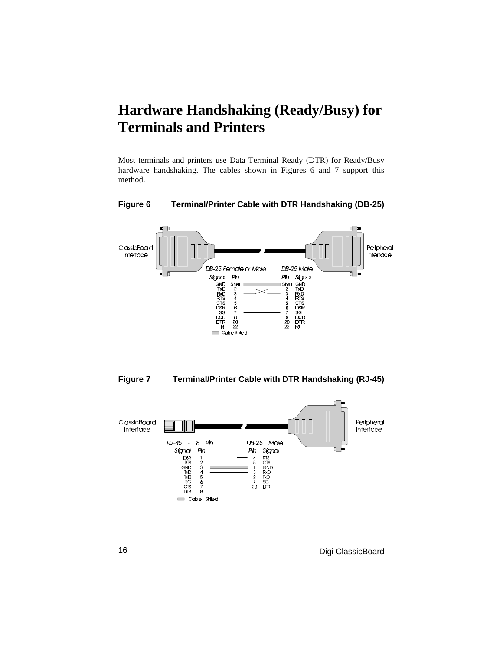### **Hardware Handshaking (Ready/Busy) for Terminals and Printers**

Most terminals and printers use Data Terminal Ready (DTR) for Ready/Busy hardware handshaking. The cables shown in Figures 6 and 7 support this method.

#### **Figure 6 Terminal/Printer Cable with DTR Handshaking (DB-25)**





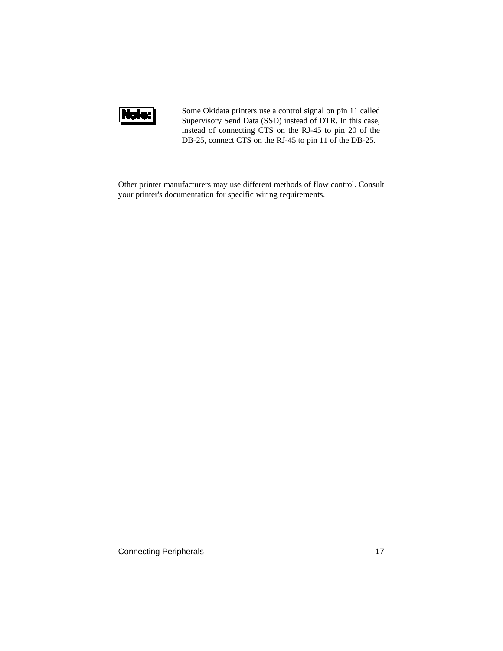

Some Okidata printers use a control signal on pin 11 called Supervisory Send Data (SSD) instead of DTR. In this case, instead of connecting CTS on the RJ-45 to pin 20 of the DB-25, connect CTS on the RJ-45 to pin 11 of the DB-25.

Other printer manufacturers may use different methods of flow control. Consult your printer's documentation for specific wiring requirements.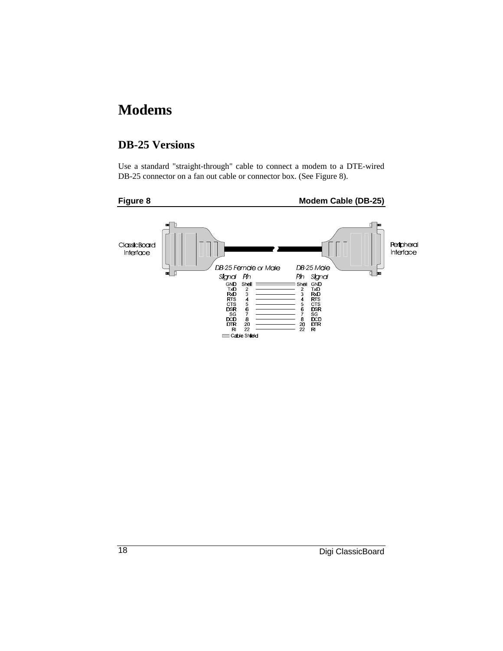### **Modems**

#### **DB-25 Versions**

Use a standard "straight-through" cable to connect a modem to a DTE-wired DB-25 connector on a fan out cable or connector box. (See Figure 8).

#### **Figure 8 Modem Cable (DB-25)**

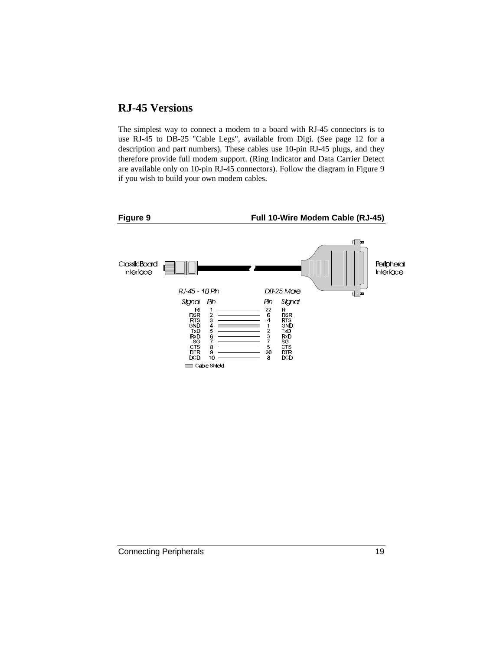#### **RJ-45 Versions**

The simplest way to connect a modem to a board with RJ-45 connectors is to use RJ-45 to DB-25 "Cable Legs", available from Digi. (See page 12 for a description and part numbers). These cables use 10-pin RJ-45 plugs, and they therefore provide full modem support. (Ring Indicator and Data Carrier Detect are available only on 10-pin RJ-45 connectors). Follow the diagram in Figure 9 if you wish to build your own modem cables.

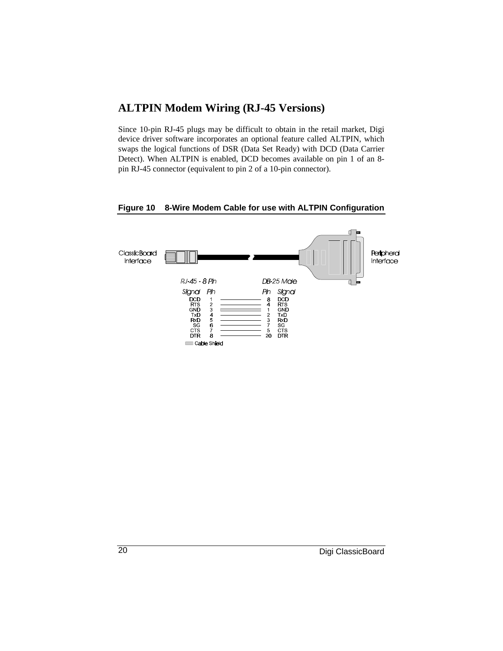#### **ALTPIN Modem Wiring (RJ-45 Versions)**

Since 10-pin RJ-45 plugs may be difficult to obtain in the retail market, Digi device driver software incorporates an optional feature called ALTPIN, which swaps the logical functions of DSR (Data Set Ready) with DCD (Data Carrier Detect). When ALTPIN is enabled, DCD becomes available on pin 1 of an 8 pin RJ-45 connector (equivalent to pin 2 of a 10-pin connector).

#### **Figure 10 8-Wire Modem Cable for use with ALTPIN Configuration**

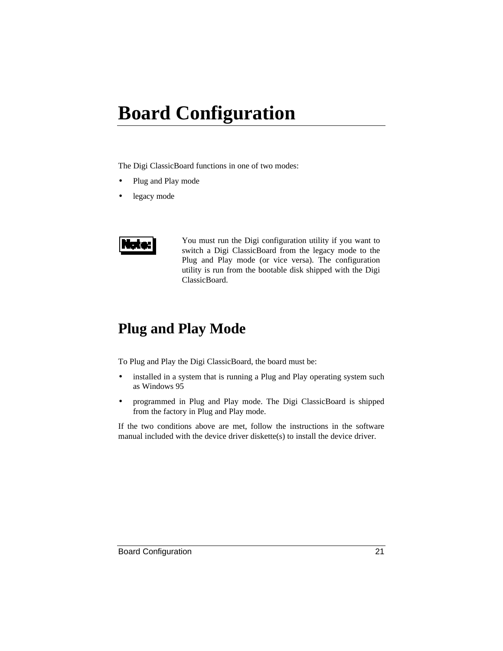# **Board Configuration**

The Digi ClassicBoard functions in one of two modes:

- Plug and Play mode
- legacy mode



You must run the Digi configuration utility if you want to switch a Digi ClassicBoard from the legacy mode to the Plug and Play mode (or vice versa). The configuration utility is run from the bootable disk shipped with the Digi ClassicBoard.

#### **Plug and Play Mode**

To Plug and Play the Digi ClassicBoard, the board must be:

- installed in a system that is running a Plug and Play operating system such as Windows 95
- programmed in Plug and Play mode. The Digi ClassicBoard is shipped from the factory in Plug and Play mode.

If the two conditions above are met, follow the instructions in the software manual included with the device driver diskette(s) to install the device driver.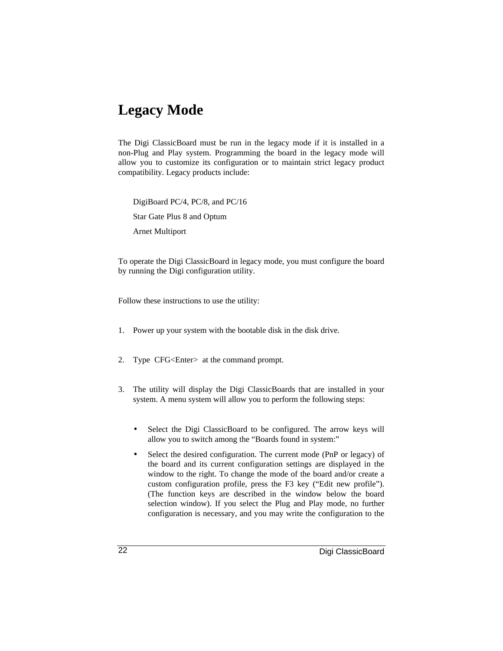### **Legacy Mode**

The Digi ClassicBoard must be run in the legacy mode if it is installed in a non-Plug and Play system. Programming the board in the legacy mode will allow you to customize its configuration or to maintain strict legacy product compatibility. Legacy products include:

DigiBoard PC/4, PC/8, and PC/16 Star Gate Plus 8 and Optum Arnet Multiport

To operate the Digi ClassicBoard in legacy mode, you must configure the board by running the Digi configuration utility.

Follow these instructions to use the utility:

- 1. Power up your system with the bootable disk in the disk drive.
- 2. Type CFG<Enter> at the command prompt.
- 3. The utility will display the Digi ClassicBoards that are installed in your system. A menu system will allow you to perform the following steps:
	- Select the Digi ClassicBoard to be configured. The arrow keys will allow you to switch among the "Boards found in system:"
	- Select the desired configuration. The current mode (PnP or legacy) of the board and its current configuration settings are displayed in the window to the right. To change the mode of the board and/or create a custom configuration profile, press the F3 key ("Edit new profile"). (The function keys are described in the window below the board selection window). If you select the Plug and Play mode, no further configuration is necessary, and you may write the configuration to the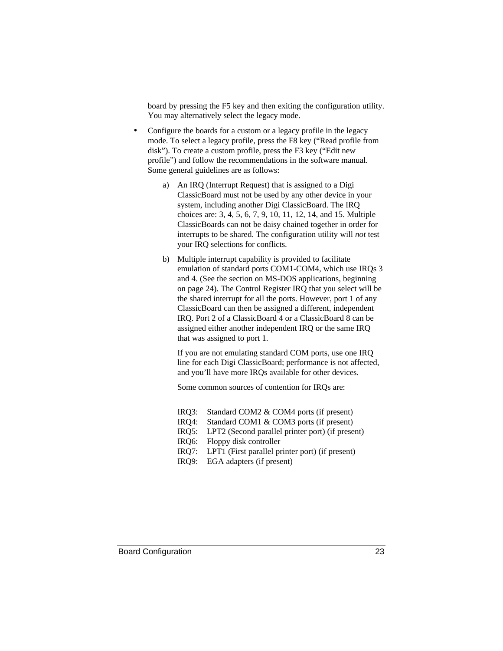board by pressing the F5 key and then exiting the configuration utility. You may alternatively select the legacy mode.

- Configure the boards for a custom or a legacy profile in the legacy mode. To select a legacy profile, press the F8 key ("Read profile from disk"). To create a custom profile, press the F3 key ("Edit new profile") and follow the recommendations in the software manual. Some general guidelines are as follows:
	- a) An IRQ (Interrupt Request) that is assigned to a Digi ClassicBoard must not be used by any other device in your system, including another Digi ClassicBoard. The IRQ choices are: 3, 4, 5, 6, 7, 9, 10, 11, 12, 14, and 15. Multiple ClassicBoards can not be daisy chained together in order for interrupts to be shared. The configuration utility will *not* test your IRQ selections for conflicts.
	- b) Multiple interrupt capability is provided to facilitate emulation of standard ports COM1-COM4, which use IRQs 3 and 4. (See the section on MS-DOS applications, beginning on page 24). The Control Register IRQ that you select will be the shared interrupt for all the ports. However, port 1 of any ClassicBoard can then be assigned a different, independent IRQ. Port 2 of a ClassicBoard 4 or a ClassicBoard 8 can be assigned either another independent IRQ or the same IRQ that was assigned to port 1.

If you are not emulating standard COM ports, use one IRQ line for each Digi ClassicBoard; performance is not affected, and you'll have more IRQs available for other devices.

Some common sources of contention for IRQs are:

- IRQ3: Standard COM2 & COM4 ports (if present)
- IRQ4: Standard COM1 & COM3 ports (if present)
- IRQ5: LPT2 (Second parallel printer port) (if present)
- IRQ6: Floppy disk controller
- IRQ7: LPT1 (First parallel printer port) (if present)
- IRQ9: EGA adapters (if present)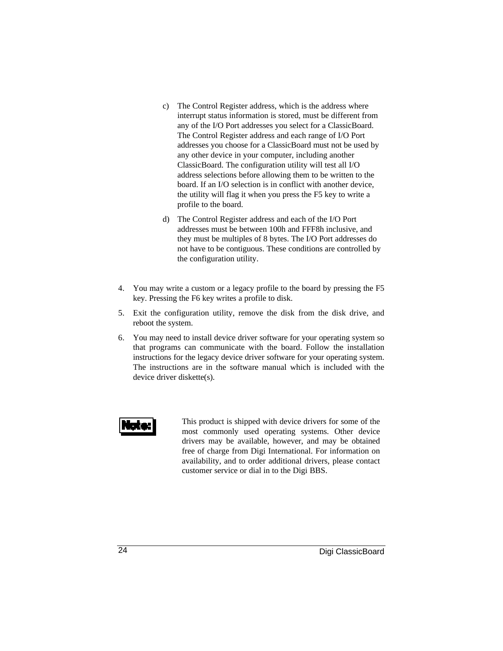- c) The Control Register address, which is the address where interrupt status information is stored, must be different from any of the I/O Port addresses you select for a ClassicBoard. The Control Register address and each range of I/O Port addresses you choose for a ClassicBoard must not be used by any other device in your computer, including another ClassicBoard. The configuration utility will test all I/O address selections before allowing them to be written to the board. If an I/O selection is in conflict with another device, the utility will flag it when you press the F5 key to write a profile to the board.
- d) The Control Register address and each of the I/O Port addresses must be between 100h and FFF8h inclusive, and they must be multiples of 8 bytes. The I/O Port addresses do not have to be contiguous. These conditions are controlled by the configuration utility.
- 4. You may write a custom or a legacy profile to the board by pressing the F5 key. Pressing the F6 key writes a profile to disk.
- 5. Exit the configuration utility, remove the disk from the disk drive, and reboot the system.
- 6. You may need to install device driver software for your operating system so that programs can communicate with the board. Follow the installation instructions for the legacy device driver software for your operating system. The instructions are in the software manual which is included with the device driver diskette(s).



This product is shipped with device drivers for some of the most commonly used operating systems. Other device drivers may be available, however, and may be obtained free of charge from Digi International. For information on availability, and to order additional drivers, please contact customer service or dial in to the Digi BBS.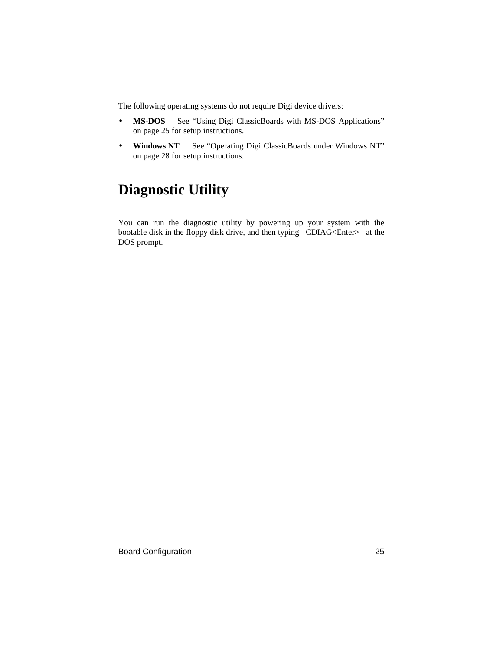The following operating systems do not require Digi device drivers:

- **MS-DOS** See "Using Digi ClassicBoards with MS-DOS Applications" on page 25 for setup instructions.
- **Windows NT** See "Operating Digi ClassicBoards under Windows NT" on page 28 for setup instructions.

# **Diagnostic Utility**

You can run the diagnostic utility by powering up your system with the bootable disk in the floppy disk drive, and then typing CDIAG<Enter> at the DOS prompt.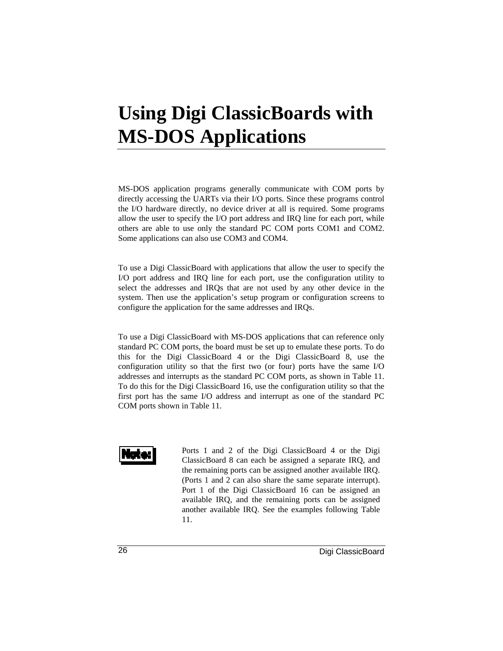# **Using Digi ClassicBoards with MS-DOS Applications**

MS-DOS application programs generally communicate with COM ports by directly accessing the UARTs via their I/O ports. Since these programs control the I/O hardware directly, no device driver at all is required. Some programs allow the user to specify the I/O port address and IRQ line for each port, while others are able to use only the standard PC COM ports COM1 and COM2. Some applications can also use COM3 and COM4.

To use a Digi ClassicBoard with applications that allow the user to specify the I/O port address and IRQ line for each port, use the configuration utility to select the addresses and IRQs that are not used by any other device in the system. Then use the application's setup program or configuration screens to configure the application for the same addresses and IRQs.

To use a Digi ClassicBoard with MS-DOS applications that can reference only standard PC COM ports, the board must be set up to emulate these ports. To do this for the Digi ClassicBoard 4 or the Digi ClassicBoard 8, use the configuration utility so that the first two (or four) ports have the same I/O addresses and interrupts as the standard PC COM ports, as shown in Table 11. To do this for the Digi ClassicBoard 16, use the configuration utility so that the first port has the same I/O address and interrupt as one of the standard PC COM ports shown in Table 11.



Ports 1 and 2 of the Digi ClassicBoard 4 or the Digi ClassicBoard 8 can each be assigned a separate IRQ, and the remaining ports can be assigned another available IRQ. (Ports 1 and 2 can also share the same separate interrupt). Port 1 of the Digi ClassicBoard 16 can be assigned an available IRQ, and the remaining ports can be assigned another available IRQ. See the examples following Table 11.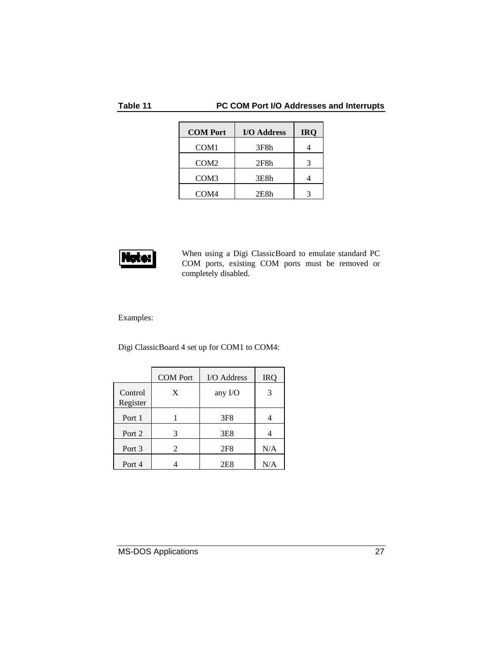#### **Table 11 PC COM Port I/O Addresses and Interrupts**

| <b>COM Port</b>  | I/O Address | <b>IRO</b> |
|------------------|-------------|------------|
| COM <sub>1</sub> | 3F8h        |            |
| COM <sub>2</sub> | 2F8h        |            |
| COM <sub>3</sub> | 3E8h        |            |
| COM <sub>4</sub> | 2E8h        |            |



When using a Digi ClassicBoard to emulate standard PC COM ports, existing COM ports must be removed or completely disabled.

Examples:

Digi ClassicBoard 4 set up for COM1 to COM4:

|                     | <b>COM</b> Port | I/O Address     | <b>IRO</b> |
|---------------------|-----------------|-----------------|------------|
| Control<br>Register | X               | any $I/O$       |            |
| Port 1              |                 | 3F <sub>8</sub> |            |
| Port 2              |                 | 3E <sub>8</sub> |            |
| Port 3              | 2               | 2F8             | N/A        |
| Port 4              |                 | 2E8             | N/A        |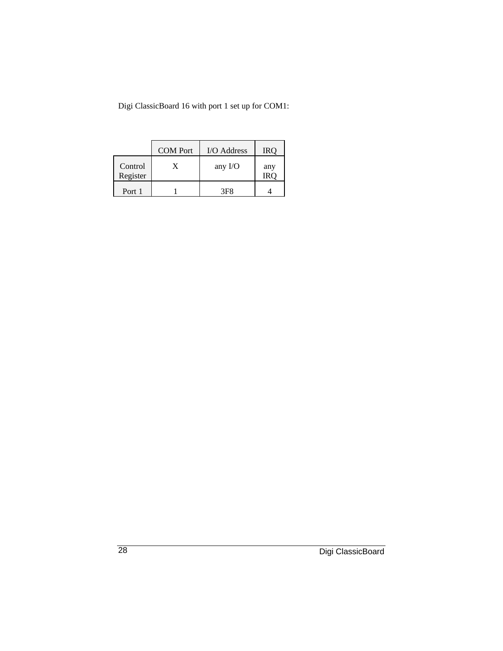Digi ClassicBoard 16 with port 1 set up for COM1:

|                     | <b>COM</b> Port | I/O Address     | IRO        |
|---------------------|-----------------|-----------------|------------|
| Control<br>Register | X               | any $I/O$       | any<br>IRO |
| Port 1              |                 | 3F <sub>8</sub> |            |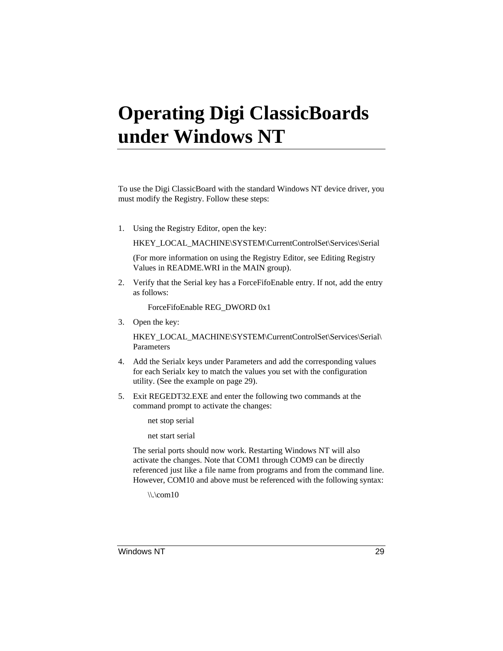# **Operating Digi ClassicBoards under Windows NT**

To use the Digi ClassicBoard with the standard Windows NT device driver, you must modify the Registry. Follow these steps:

1. Using the Registry Editor, open the key:

HKEY\_LOCAL\_MACHINE\SYSTEM\CurrentControlSet\Services\Serial

(For more information on using the Registry Editor, see Editing Registry Values in README.WRI in the MAIN group).

2. Verify that the Serial key has a ForceFifoEnable entry. If not, add the entry as follows:

ForceFifoEnable REG\_DWORD 0x1

3. Open the key:

HKEY\_LOCAL\_MACHINE\SYSTEM\CurrentControlSet\Services\Serial\ Parameters

- 4. Add the Serial*x* keys under Parameters and add the corresponding values for each Serial*x* key to match the values you set with the configuration utility. (See the example on page 29).
- 5. Exit REGEDT32.EXE and enter the following two commands at the command prompt to activate the changes:
	- net stop serial

net start serial

The serial ports should now work. Restarting Windows NT will also activate the changes. Note that COM1 through COM9 can be directly referenced just like a file name from programs and from the command line. However, COM10 and above must be referenced with the following syntax:

 $\langle \cdot \rangle$ . $\mathrm{com}10$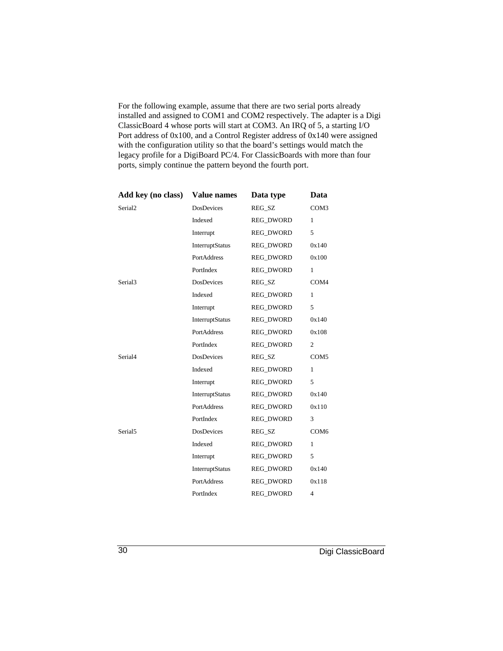For the following example, assume that there are two serial ports already installed and assigned to COM1 and COM2 respectively. The adapter is a Digi ClassicBoard 4 whose ports will start at COM3. An IRQ of 5, a starting I/O Port address of 0x100, and a Control Register address of 0x140 were assigned with the configuration utility so that the board's settings would match the legacy profile for a DigiBoard PC/4. For ClassicBoards with more than four ports, simply continue the pattern beyond the fourth port.

| Add key (no class)  | <b>Value names</b>     | Data type        | Data             |
|---------------------|------------------------|------------------|------------------|
| Serial <sub>2</sub> | <b>DosDevices</b>      | REG SZ           | COM <sub>3</sub> |
|                     | Indexed                | <b>REG DWORD</b> | 1                |
|                     | Interrupt              | REG_DWORD        | 5                |
|                     | <b>InterruptStatus</b> | <b>REG DWORD</b> | 0x140            |
|                     | <b>PortAddress</b>     | REG_DWORD        | 0x100            |
|                     | PortIndex              | <b>REG DWORD</b> | 1                |
| Serial <sub>3</sub> | <b>DosDevices</b>      | REG SZ           | COM4             |
|                     | Indexed                | <b>REG DWORD</b> | 1                |
|                     | Interrupt              | <b>REG DWORD</b> | 5                |
|                     | InterruptStatus        | REG_DWORD        | 0x140            |
|                     | PortAddress            | <b>REG DWORD</b> | 0x108            |
|                     | PortIndex              | REG_DWORD        | 2                |
| Serial <sub>4</sub> | <b>DosDevices</b>      | REG SZ           | COM <sub>5</sub> |
|                     | Indexed                | <b>REG DWORD</b> | 1                |
|                     | Interrupt              | REG_DWORD        | 5                |
|                     | <b>InterruptStatus</b> | REG_DWORD        | 0x140            |
|                     | PortAddress            | REG_DWORD        | 0x110            |
|                     | PortIndex              | <b>REG DWORD</b> | 3                |
| Serial <sub>5</sub> | <b>DosDevices</b>      | REG_SZ           | COM <sub>6</sub> |
|                     | Indexed                | REG_DWORD        | 1                |
|                     | Interrupt              | <b>REG DWORD</b> | 5                |
|                     | InterruptStatus        | REG_DWORD        | 0x140            |
|                     | <b>PortAddress</b>     | <b>REG DWORD</b> | 0x118            |
|                     | PortIndex              | <b>REG DWORD</b> | 4                |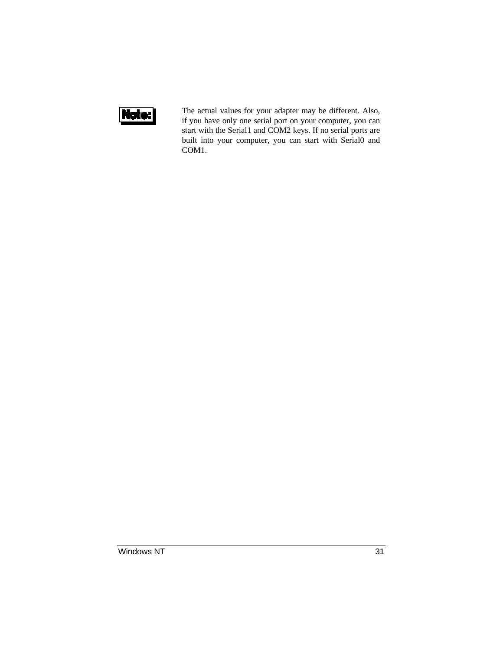

The actual values for your adapter may be different. Also, if you have only one serial port on your computer, you can start with the Serial1 and COM2 keys. If no serial ports are built into your computer, you can start with Serial0 and COM1.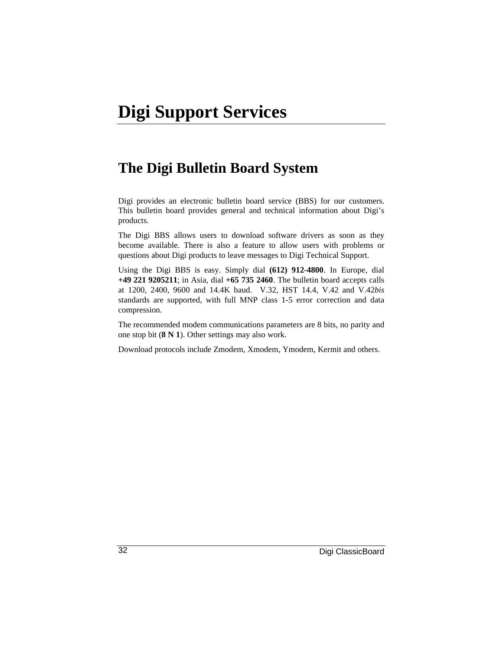#### **The Digi Bulletin Board System**

Digi provides an electronic bulletin board service (BBS) for our customers. This bulletin board provides general and technical information about Digi's products.

The Digi BBS allows users to download software drivers as soon as they become available. There is also a feature to allow users with problems or questions about Digi products to leave messages to Digi Technical Support.

Using the Digi BBS is easy. Simply dial **(612) 912-4800**. In Europe, dial **+49 221 9205211**; in Asia, dial **+65 735 2460**. The bulletin board accepts calls at 1200, 2400, 9600 and 14.4K baud. V.32, HST 14.4, V.42 and V.42*bis* standards are supported, with full MNP class 1-5 error correction and data compression.

The recommended modem communications parameters are 8 bits, no parity and one stop bit (**8 N 1**). Other settings may also work.

Download protocols include Zmodem, Xmodem, Ymodem, Kermit and others.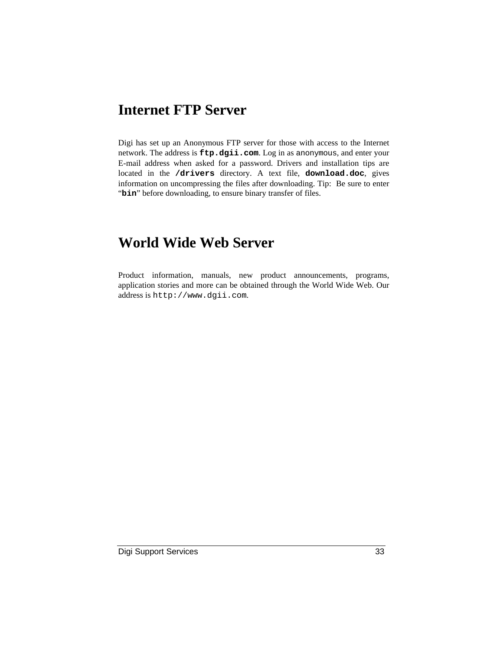#### **Internet FTP Server**

Digi has set up an Anonymous FTP server for those with access to the Internet network. The address is **ftp.dgii.com**. Log in as anonymous, and enter your E-mail address when asked for a password. Drivers and installation tips are located in the **/drivers** directory. A text file, **download.doc**, gives information on uncompressing the files after downloading. Tip: Be sure to enter "bin" before downloading, to ensure binary transfer of files.

#### **World Wide Web Server**

Product information, manuals, new product announcements, programs, application stories and more can be obtained through the World Wide Web. Our address is http://www.dgii.com.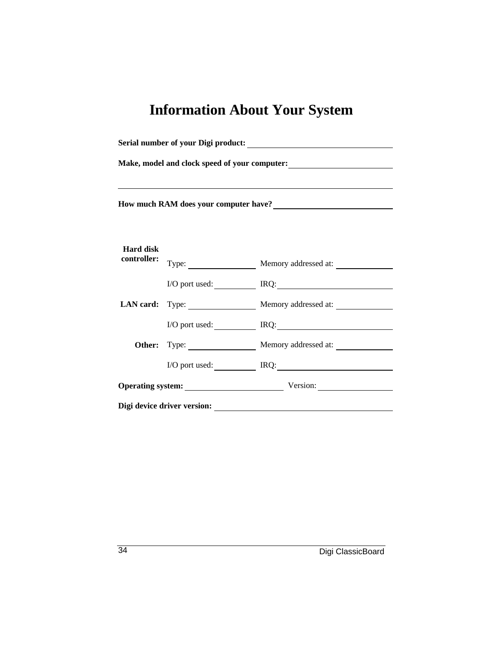# **Information About Your System**

| Make, model and clock speed of your computer:<br><u>Letting</u>                                                                                                                                                                                                                                                           |  |                                      |
|---------------------------------------------------------------------------------------------------------------------------------------------------------------------------------------------------------------------------------------------------------------------------------------------------------------------------|--|--------------------------------------|
| ,我们也不会有什么。""我们的人,我们也不会有什么?""我们的人,我们也不会有什么?""我们的人,我们也不会有什么?""我们的人,我们也不会有什么?""我们的人<br>How much RAM does your computer have?<br><u>Letter and the substitute of the substitute of the substitute</u> of the substitute of the substitute of the substitute of the substitute of the substitute of the substitute of the subs |  |                                      |
| <b>Hard disk</b><br>controller:                                                                                                                                                                                                                                                                                           |  | Type: Memory addressed at:           |
|                                                                                                                                                                                                                                                                                                                           |  | I/O port used: IRQ: IRQ:             |
|                                                                                                                                                                                                                                                                                                                           |  | LAN card: Type: Memory addressed at: |
|                                                                                                                                                                                                                                                                                                                           |  | I/O port used: IRQ:                  |
|                                                                                                                                                                                                                                                                                                                           |  | Other: Type: Memory addressed at:    |
|                                                                                                                                                                                                                                                                                                                           |  | I/O port used: IRQ: IRQ:             |
|                                                                                                                                                                                                                                                                                                                           |  | Operating system: Version:           |
|                                                                                                                                                                                                                                                                                                                           |  |                                      |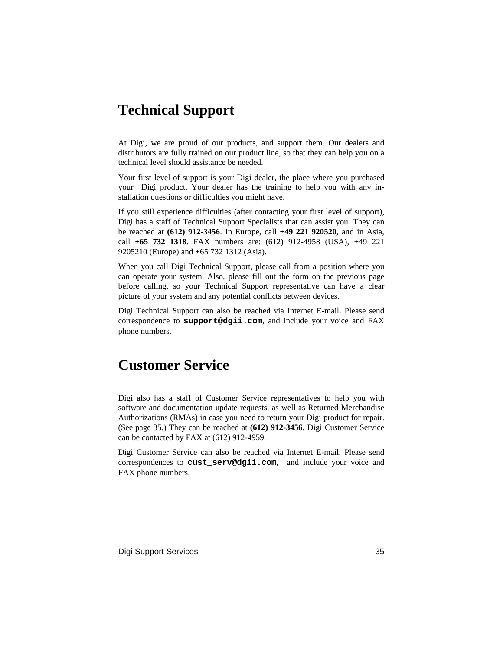#### **Technical Support**

At Digi, we are proud of our products, and support them. Our dealers and distributors are fully trained on our product line, so that they can help you on a technical level should assistance be needed.

Your first level of support is your Digi dealer, the place where you purchased your Digi product. Your dealer has the training to help you with any installation questions or difficulties you might have.

If you still experience difficulties (after contacting your first level of support), Digi has a staff of Technical Support Specialists that can assist you. They can be reached at **(612) 912-3456**. In Europe, call **+49 221 920520**, and in Asia, call **+65 732 1318**. FAX numbers are: (612) 912-4958 (USA), +49 221 9205210 (Europe) and +65 732 1312 (Asia).

When you call Digi Technical Support, please call from a position where you can operate your system. Also, please fill out the form on the previous page before calling, so your Technical Support representative can have a clear picture of your system and any potential conflicts between devices.

Digi Technical Support can also be reached via Internet E-mail. Please send correspondence to **support@dgii.com**, and include your voice and FAX phone numbers.

#### **Customer Service**

Digi also has a staff of Customer Service representatives to help you with software and documentation update requests, as well as Returned Merchandise Authorizations (RMAs) in case you need to return your Digi product for repair. (See page 35.) They can be reached at **(612) 912-3456**. Digi Customer Service can be contacted by FAX at (612) 912-4959.

Digi Customer Service can also be reached via Internet E-mail. Please send correspondences to **cust\_serv@dgii.com**, and include your voice and FAX phone numbers.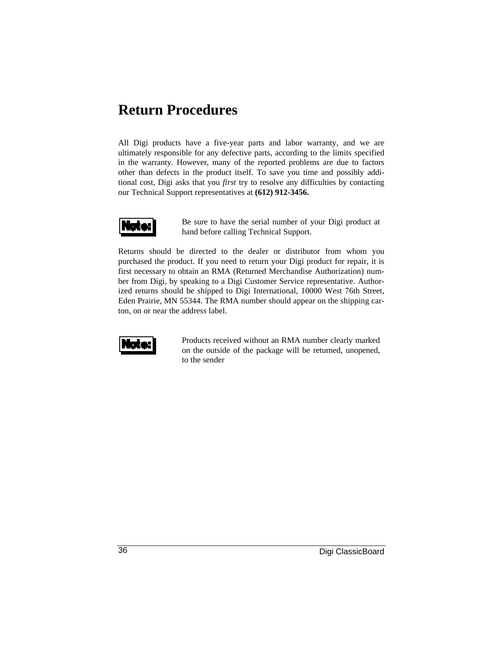#### **Return Procedures**

All Digi products have a five-year parts and labor warranty, and we are ultimately responsible for any defective parts, according to the limits specified in the warranty. However, many of the reported problems are due to factors other than defects in the product itself. To save you time and possibly additional cost, Digi asks that you *first* try to resolve any difficulties by contacting our Technical Support representatives at **(612) 912-3456.**



Be sure to have the serial number of your Digi product at hand before calling Technical Support.

Returns should be directed to the dealer or distributor from whom you purchased the product. If you need to return your Digi product for repair, it is first necessary to obtain an RMA (Returned Merchandise Authorization) number from Digi, by speaking to a Digi Customer Service representative. Authorized returns should be shipped to Digi International, 10000 West 76th Street, Eden Prairie, MN 55344. The RMA number should appear on the shipping carton, on or near the address label.



Products received without an RMA number clearly marked on the outside of the package will be returned, unopened, to the sender